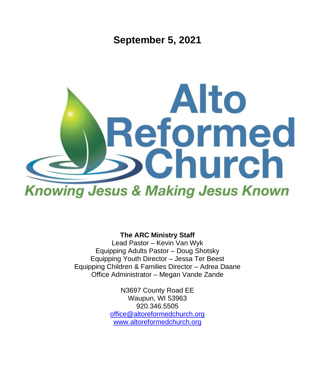**September 5, 2021**



**The ARC Ministry Staff**

Lead Pastor – Kevin Van Wyk Equipping Adults Pastor – Doug Shotsky Equipping Youth Director – Jessa Ter Beest Equipping Children & Families Director – Adrea Daane Office Administrator – Megan Vande Zande

> N3697 County Road EE Waupun, WI 53963 920.346.5505 [office@altoreformedchurch.org](mailto:office@altoreformedchurch.org) [www.altoreformedchurch.org](http://www.altoreformedchurch.org/)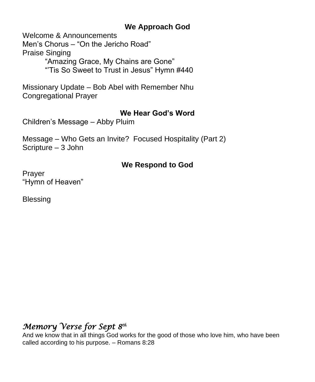### **We Approach God**

Welcome & Announcements

Men's Chorus – "On the Jericho Road"

Praise Singing

"Amazing Grace, My Chains are Gone"

"'Tis So Sweet to Trust in Jesus" Hymn #440

Missionary Update – Bob Abel with Remember Nhu Congregational Prayer

## **We Hear God's Word**

Children's Message – Abby Pluim

Message – Who Gets an Invite? Focused Hospitality (Part 2) Scripture – 3 John

## **We Respond to God**

Prayer "Hymn of Heaven"

**Blessing** 

# *Memory Verse for Sept 8th*

And we know that in all things God works for the good of those who love him, who have been called according to his purpose. – Romans 8:28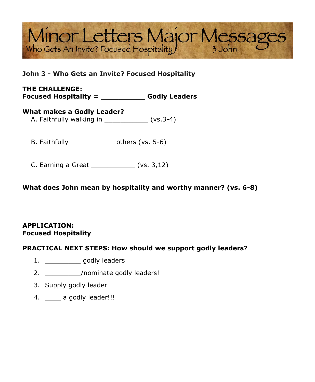# Minor Letters Major Messages

#### **John 3 - Who Gets an Invite? Focused Hospitality**

#### **THE CHALLENGE: Focused Hospitality = \_\_\_\_\_\_\_\_\_\_ Godly Leaders**

#### **What makes a Godly Leader?**

A. Faithfully walking in \_\_\_\_\_\_\_\_\_\_\_\_\_\_ (vs.3-4)

B. Faithfully \_\_\_\_\_\_\_\_\_\_\_\_\_\_\_\_ others (vs. 5-6)

C. Earning a Great \_\_\_\_\_\_\_\_\_\_\_ (vs. 3,12)

**What does John mean by hospitality and worthy manner? (vs. 6-8)**

#### **APPLICATION: Focused Hospitality**

#### **PRACTICAL NEXT STEPS: How should we support godly leaders?**

- 1. \_\_\_\_\_\_\_\_\_ godly leaders
- 2. \_\_\_\_\_\_\_\_\_\_\_/nominate godly leaders!
- 3. Supply godly leader
- 4. **a** godly leader!!!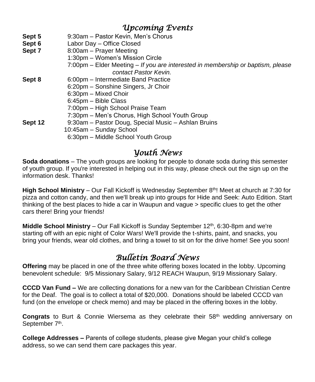## *Upcoming Events*

- **Sept 5** 9:30am Pastor Kevin, Men's Chorus
- **Sept 6** Labor Day Office Closed
- **Sept 7** 8:00am Prayer Meeting
	- 1:30pm Women's Mission Circle
		- 7:00pm Elder Meeting *If you are interested in membership or baptism, please contact Pastor Kevin.*
- **Sept 8** 6:00pm Intermediate Band Practice
	- 6:20pm Sonshine Singers, Jr Choir
	- 6:30pm Mixed Choir
		- 6:45pm Bible Class
		- 7:00pm High School Praise Team
	- 7:30pm Men's Chorus, High School Youth Group
- **Sept 12** 9:30am Pastor Doug, Special Music Ashlan Bruins
	- 10:45am Sunday School
		- 6:30pm Middle School Youth Group

## *Youth News*

**Soda donations** – The youth groups are looking for people to donate soda during this semester of youth group. If you're interested in helping out in this way, please check out the sign up on the information desk. Thanks!

**High School Ministry** – Our Fall Kickoff is Wednesday September 8<sup>th</sup>! Meet at church at 7:30 for pizza and cotton candy, and then we'll break up into groups for Hide and Seek: Auto Edition. Start thinking of the best places to hide a car in Waupun and vague > specific clues to get the other cars there! Bring your friends!

**Middle School Ministry** – Our Fall Kickoff is Sunday September 12<sup>th</sup>, 6:30-8pm and we're starting off with an epic night of Color Wars! We'll provide the t-shirts, paint, and snacks, you bring your friends, wear old clothes, and bring a towel to sit on for the drive home! See you soon!

## *Bulletin Board News*

**Offering** may be placed in one of the three white offering boxes located in the lobby. Upcoming benevolent schedule: 9/5 Missionary Salary, 9/12 REACH Waupun, 9/19 Missionary Salary.

**CCCD Van Fund –** We are collecting donations for a new van for the Caribbean Christian Centre for the Deaf. The goal is to collect a total of \$20,000. Donations should be labeled CCCD van fund (on the envelope or check memo) and may be placed in the offering boxes in the lobby.

**Congrats** to Burt & Connie Wiersema as they celebrate their 58<sup>th</sup> wedding anniversary on September 7<sup>th</sup>.

**College Addresses –** Parents of college students, please give Megan your child's college address, so we can send them care packages this year.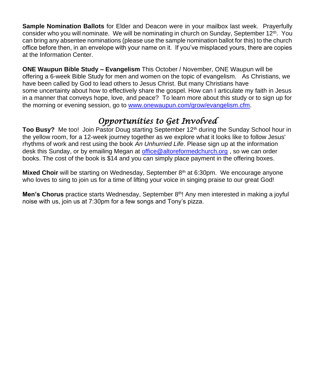**Sample Nomination Ballots** for Elder and Deacon were in your mailbox last week. Prayerfully consider who you will nominate. We will be nominating in church on Sunday, September 12<sup>th</sup>. You can bring any absentee nominations (please use the sample nomination ballot for this) to the church office before then, in an envelope with your name on it. If you've misplaced yours, there are copies at the Information Center.

**ONE Waupun Bible Study – Evangelism** This October / November, ONE Waupun will be offering a 6-week Bible Study for men and women on the topic of evangelism. As Christians, we have been called by God to lead others to Jesus Christ. But many Christians have some uncertainty about how to effectively share the gospel. How can I articulate my faith in Jesus in a manner that conveys hope, love, and peace? To learn more about this study or to sign up for the morning or evening session, go to [www.onewaupun.com/grow/evangelism.cfm.](https://na01.safelinks.protection.outlook.com/?url=https%3A%2F%2Fwww.google.com%2Furl%3Fq%3Dhttp%253A%252F%252Fwww.onewaupun.com%252Fgrow%252Fevangelism.cfm%26sa%3DD%26ust%3D1630160392492000%26usg%3DAOvVaw37qjuwSzTa9FTNT75-XNJX&data=04%7C01%7C%7C6d65ae26e6164956677608d9666537c9%7C84df9e7fe9f640afb435aaaaaaaaaaaa%7C1%7C0%7C637653407188679947%7CUnknown%7CTWFpbGZsb3d8eyJWIjoiMC4wLjAwMDAiLCJQIjoiV2luMzIiLCJBTiI6Ik1haWwiLCJXVCI6Mn0%3D%7C1000&sdata=16KcJO6S7mK6ORbqtnMJ9ubgWwmKhRfk7K4N2ty7rv8%3D&reserved=0)

## *Opportunities to Get Involved*

**Too Busy?** Me too! Join Pastor Doug starting September 12<sup>th</sup> during the Sunday School hour in the yellow room, for a 12-week journey together as we explore what it looks like to follow Jesus' rhythms of work and rest using the book *An Unhurried Life*. Please sign up at the information desk this Sunday, or by emailing Megan at [office@altoreformedchurch.org](mailto:office@altoreformedchurch.org) , so we can order books. The cost of the book is \$14 and you can simply place payment in the offering boxes.

**Mixed Choir** will be starting on Wednesday, September 8<sup>th</sup> at 6:30pm. We encourage anyone who loves to sing to join us for a time of lifting your voice in singing praise to our great God!

**Men's Chorus** practice starts Wednesday, September 8<sup>th</sup>! Any men interested in making a joyful noise with us, join us at 7:30pm for a few songs and Tony's pizza.